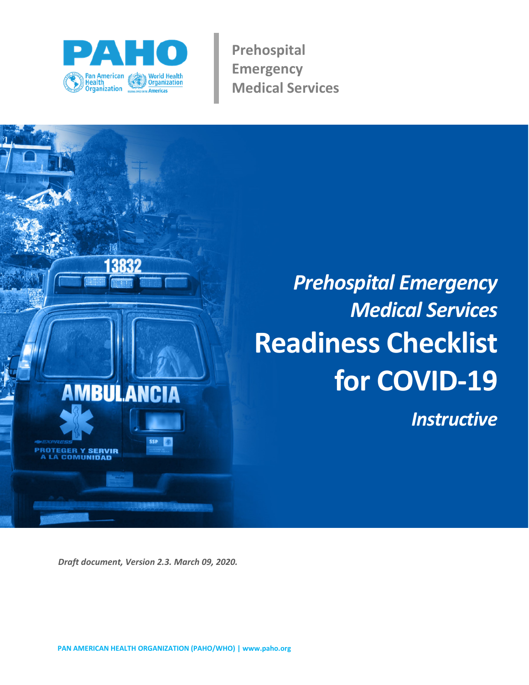

**Prehospital Emergency Medical Services** 



*Draft document, Version 2.3. March 09, 2020.*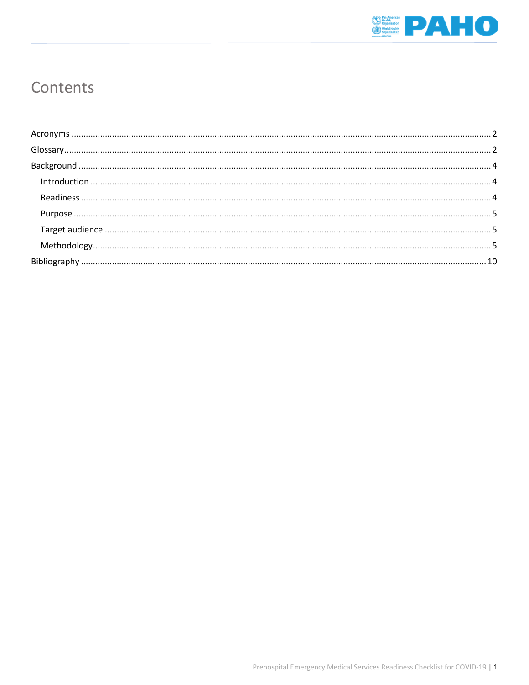

## Contents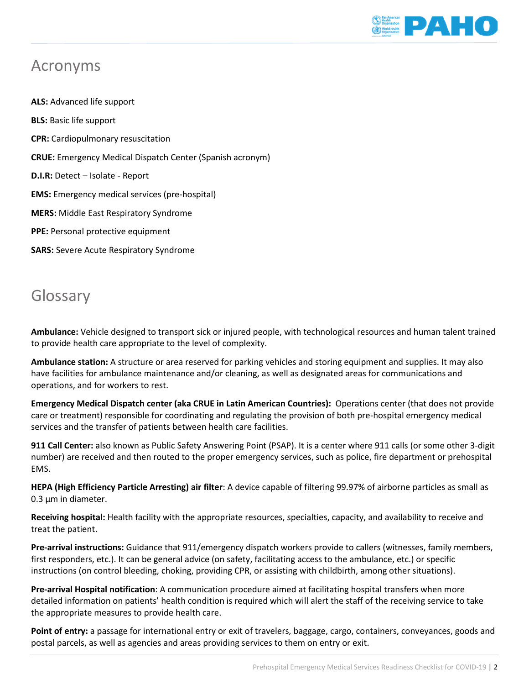

### <span id="page-2-0"></span>Acronyms

**ALS:** Advanced life support **BLS:** Basic life support **CPR:** Cardiopulmonary resuscitation **CRUE:** Emergency Medical Dispatch Center (Spanish acronym) **D.I.R:** Detect – Isolate - Report **EMS:** Emergency medical services (pre-hospital) **MERS:** Middle East Respiratory Syndrome **PPE:** Personal protective equipment **SARS:** Severe Acute Respiratory Syndrome

## <span id="page-2-1"></span>Glossary

**Ambulance:** Vehicle designed to transport sick or injured people, with technological resources and human talent trained to provide health care appropriate to the level of complexity.

**Ambulance station:** A structure or area reserved for parking vehicles and storing equipment and supplies. It may also have facilities for ambulance maintenance and/or cleaning, as well as designated areas for communications and operations, and for workers to rest.

**Emergency Medical Dispatch center (aka CRUE in Latin American Countries):** Operations center (that does not provide care or treatment) responsible for coordinating and regulating the provision of both pre-hospital emergency medical services and the transfer of patients between health care facilities.

**911 Call Center:** also known as Public Safety Answering Point (PSAP). It is a center where 911 calls (or some other 3-digit number) are received and then routed to the proper emergency services, such as police, fire department or prehospital EMS.

**HEPA (High Efficiency Particle Arresting) air filter**: A device capable of filtering 99.97% of airborne particles as small as 0.3 µm in diameter.

**Receiving hospital:** Health facility with the appropriate resources, specialties, capacity, and availability to receive and treat the patient.

**Pre-arrival instructions:** Guidance that 911/emergency dispatch workers provide to callers (witnesses, family members, first responders, etc.). It can be general advice (on safety, facilitating access to the ambulance, etc.) or specific instructions (on control bleeding, choking, providing CPR, or assisting with childbirth, among other situations).

**Pre-arrival Hospital notification**: A communication procedure aimed at facilitating hospital transfers when more detailed information on patients' health condition is required which will alert the staff of the receiving service to take the appropriate measures to provide health care.

**Point of entry:** a passage for international entry or exit of travelers, baggage, cargo, containers, conveyances, goods and postal parcels, as well as agencies and areas providing services to them on entry or exit.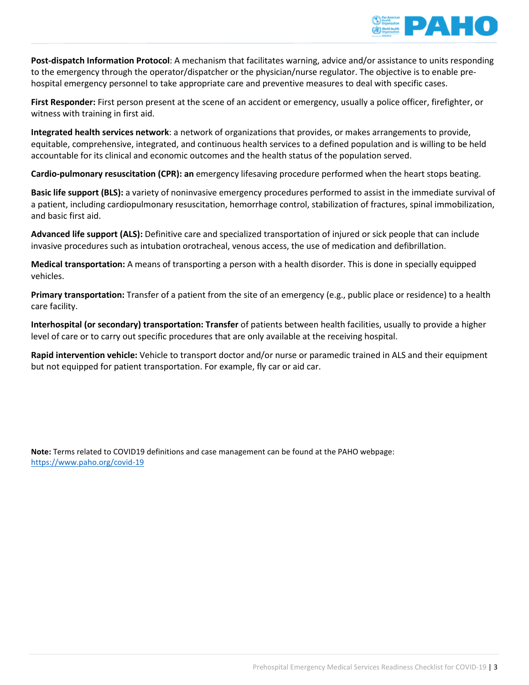

**Post-dispatch Information Protocol**: A mechanism that facilitates warning, advice and/or assistance to units responding to the emergency through the operator/dispatcher or the physician/nurse regulator. The objective is to enable prehospital emergency personnel to take appropriate care and preventive measures to deal with specific cases.

**First Responder:** First person present at the scene of an accident or emergency, usually a police officer, firefighter, or witness with training in first aid.

**Integrated health services network**: a network of organizations that provides, or makes arrangements to provide, equitable, comprehensive, integrated, and continuous health services to a defined population and is willing to be held accountable for its clinical and economic outcomes and the health status of the population served.

**Cardio-pulmonary resuscitation (CPR): an** emergency lifesaving procedure performed when the heart stops beating.

**Basic life support (BLS):** a variety of noninvasive emergency procedures performed to assist in the immediate survival of a patient, including cardiopulmonary resuscitation, hemorrhage control, stabilization of fractures, spinal immobilization, and basic first aid.

**Advanced life support (ALS):** Definitive care and specialized transportation of injured or sick people that can include invasive procedures such as intubation orotracheal, venous access, the use of medication and defibrillation.

**Medical transportation:** A means of transporting a person with a health disorder. This is done in specially equipped vehicles.

**Primary transportation:** Transfer of a patient from the site of an emergency (e.g., public place or residence) to a health care facility.

**Interhospital (or secondary) transportation: Transfer** of patients between health facilities, usually to provide a higher level of care or to carry out specific procedures that are only available at the receiving hospital.

**Rapid intervention vehicle:** Vehicle to transport doctor and/or nurse or paramedic trained in ALS and their equipment but not equipped for patient transportation. For example, fly car or aid car.

**Note:** Terms related to COVID19 definitions and case management can be found at the PAHO webpage: <https://www.paho.org/covid-19>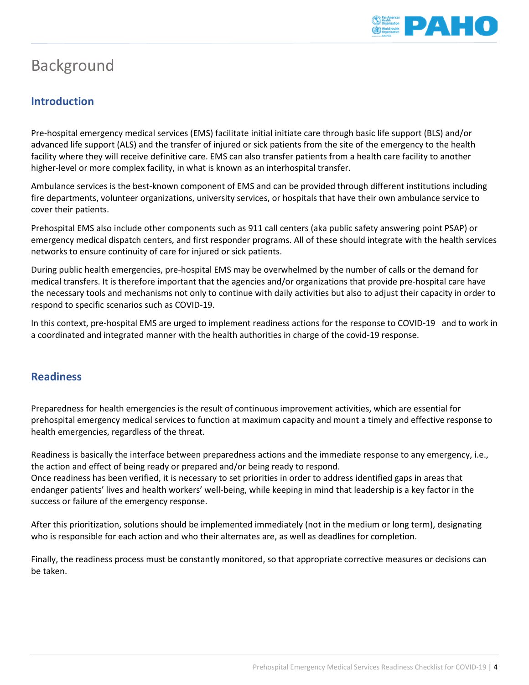

## <span id="page-4-0"></span>Background

### <span id="page-4-1"></span>**Introduction**

Pre-hospital emergency medical services (EMS) facilitate initial initiate care through basic life support (BLS) and/or advanced life support (ALS) and the transfer of injured or sick patients from the site of the emergency to the health facility where they will receive definitive care. EMS can also transfer patients from a health care facility to another higher-level or more complex facility, in what is known as an interhospital transfer.

Ambulance services is the best-known component of EMS and can be provided through different institutions including fire departments, volunteer organizations, university services, or hospitals that have their own ambulance service to cover their patients.

Prehospital EMS also include other components such as 911 call centers (aka public safety answering point PSAP) or emergency medical dispatch centers, and first responder programs. All of these should integrate with the health services networks to ensure continuity of care for injured or sick patients.

During public health emergencies, pre-hospital EMS may be overwhelmed by the number of calls or the demand for medical transfers. It is therefore important that the agencies and/or organizations that provide pre-hospital care have the necessary tools and mechanisms not only to continue with daily activities but also to adjust their capacity in order to respond to specific scenarios such as COVID-19.

In this context, pre-hospital EMS are urged to implement readiness actions for the response to COVID-19 and to work in a coordinated and integrated manner with the health authorities in charge of the covid-19 response.

#### <span id="page-4-2"></span>**Readiness**

Preparedness for health emergencies is the result of continuous improvement activities, which are essential for prehospital emergency medical services to function at maximum capacity and mount a timely and effective response to health emergencies, regardless of the threat.

Readiness is basically the interface between preparedness actions and the immediate response to any emergency, i.e., the action and effect of being ready or prepared and/or being ready to respond. Once readiness has been verified, it is necessary to set priorities in order to address identified gaps in areas that endanger patients' lives and health workers' well-being, while keeping in mind that leadership is a key factor in the success or failure of the emergency response.

After this prioritization, solutions should be implemented immediately (not in the medium or long term), designating who is responsible for each action and who their alternates are, as well as deadlines for completion.

Finally, the readiness process must be constantly monitored, so that appropriate corrective measures or decisions can be taken.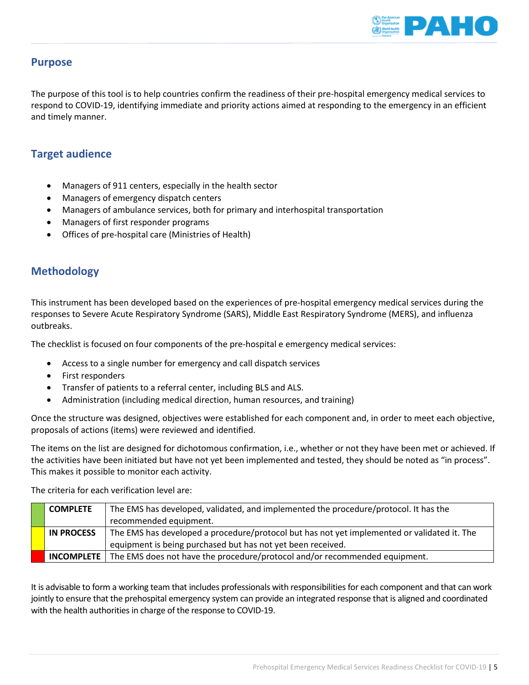

#### <span id="page-5-0"></span>**Purpose**

The purpose of this tool is to help countries confirm the readiness of their pre-hospital emergency medical services to respond to COVID-19, identifying immediate and priority actions aimed at responding to the emergency in an efficient and timely manner.

#### <span id="page-5-1"></span>**Target audience**

- Managers of 911 centers, especially in the health sector
- Managers of emergency dispatch centers
- Managers of ambulance services, both for primary and interhospital transportation
- Managers of first responder programs
- Offices of pre-hospital care (Ministries of Health)

#### <span id="page-5-2"></span>**Methodology**

This instrument has been developed based on the experiences of pre-hospital emergency medical services during the responses to Severe Acute Respiratory Syndrome (SARS), Middle East Respiratory Syndrome (MERS), and influenza outbreaks.

The checklist is focused on four components of the pre-hospital e emergency medical services:

- Access to a single number for emergency and call dispatch services
- First responders
- Transfer of patients to a referral center, including BLS and ALS.
- Administration (including medical direction, human resources, and training)

Once the structure was designed, objectives were established for each component and, in order to meet each objective, proposals of actions (items) were reviewed and identified.

The items on the list are designed for dichotomous confirmation, i.e., whether or not they have been met or achieved. If the activities have been initiated but have not yet been implemented and tested, they should be noted as "in process". This makes it possible to monitor each activity.

The criteria for each verification level are:

|                                                                                                                  | <b>COMPLETE</b> | The EMS has developed, validated, and implemented the procedure/protocol. It has the         |
|------------------------------------------------------------------------------------------------------------------|-----------------|----------------------------------------------------------------------------------------------|
|                                                                                                                  |                 | recommended equipment.                                                                       |
| The EMS has developed a procedure/protocol but has not yet implemented or validated it. The<br><b>IN PROCESS</b> |                 |                                                                                              |
|                                                                                                                  |                 | equipment is being purchased but has not yet been received.                                  |
|                                                                                                                  |                 | <b>INCOMPLETE</b> The EMS does not have the procedure/protocol and/or recommended equipment. |

It is advisable to form a working team that includes professionals with responsibilities for each component and that can work jointly to ensure that the prehospital emergency system can provide an integrated response that is aligned and coordinated with the health authorities in charge of the response to COVID-19.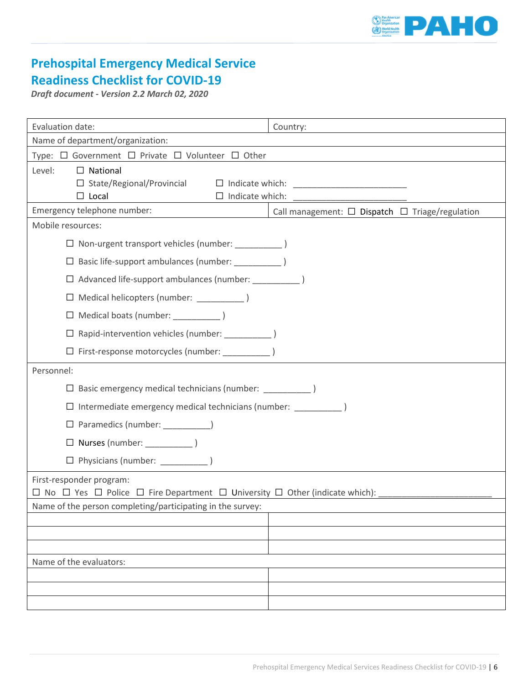

### **Prehospital Emergency Medical Service Readiness Checklist for COVID-19**

*Draft document - Version 2.2 March 02, 2020*

| Evaluation date:                                                                                                                       | Country:                                                  |  |  |  |  |
|----------------------------------------------------------------------------------------------------------------------------------------|-----------------------------------------------------------|--|--|--|--|
| Name of department/organization:                                                                                                       |                                                           |  |  |  |  |
| Type: $\Box$ Government $\Box$ Private $\Box$ Volunteer $\Box$ Other                                                                   |                                                           |  |  |  |  |
| $\Box$ National<br>Level:<br>$\Box$ State/Regional/Provincial<br>$\Box$ Indicate which:<br>$\Box$ Local                                |                                                           |  |  |  |  |
| Emergency telephone number:                                                                                                            | Call management: $\Box$ Dispatch $\Box$ Triage/regulation |  |  |  |  |
| Mobile resources:                                                                                                                      |                                                           |  |  |  |  |
| □ Non-urgent transport vehicles (number: ________________)                                                                             |                                                           |  |  |  |  |
|                                                                                                                                        |                                                           |  |  |  |  |
| $\Box$ Advanced life-support ambulances (number:                                                                                       |                                                           |  |  |  |  |
| □ Medical helicopters (number: _______________)                                                                                        |                                                           |  |  |  |  |
|                                                                                                                                        |                                                           |  |  |  |  |
|                                                                                                                                        |                                                           |  |  |  |  |
| □ First-response motorcycles (number: ___________)                                                                                     |                                                           |  |  |  |  |
| Personnel:                                                                                                                             |                                                           |  |  |  |  |
| $\Box$ Basic emergency medical technicians (number: _______________)                                                                   |                                                           |  |  |  |  |
| □ Intermediate emergency medical technicians (number: ______________)                                                                  |                                                           |  |  |  |  |
|                                                                                                                                        |                                                           |  |  |  |  |
| $\Box$ Nurses (number: $\Box$ )                                                                                                        |                                                           |  |  |  |  |
|                                                                                                                                        |                                                           |  |  |  |  |
| First-responder program:<br>$\Box$ No $\Box$ Yes $\Box$ Police $\Box$ Fire Department $\Box$ University $\Box$ Other (indicate which): |                                                           |  |  |  |  |
| Name of the person completing/participating in the survey:                                                                             |                                                           |  |  |  |  |
|                                                                                                                                        |                                                           |  |  |  |  |
|                                                                                                                                        |                                                           |  |  |  |  |
| Name of the evaluators:                                                                                                                |                                                           |  |  |  |  |
|                                                                                                                                        |                                                           |  |  |  |  |
|                                                                                                                                        |                                                           |  |  |  |  |
|                                                                                                                                        |                                                           |  |  |  |  |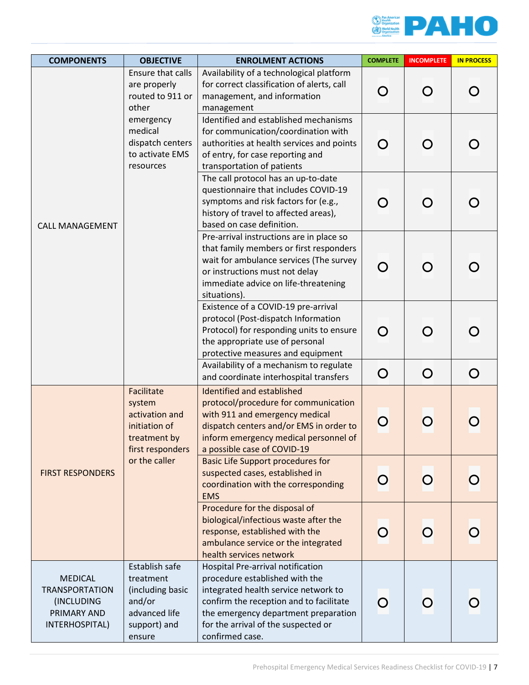

| <b>COMPONENTS</b>                                                                      | <b>OBJECTIVE</b>                                                                                     | <b>ENROLMENT ACTIONS</b>                                                                                                                                                                                                                                 | <b>COMPLETE</b> | <b>INCOMPLETE</b> | <b>IN PROCESS</b> |
|----------------------------------------------------------------------------------------|------------------------------------------------------------------------------------------------------|----------------------------------------------------------------------------------------------------------------------------------------------------------------------------------------------------------------------------------------------------------|-----------------|-------------------|-------------------|
|                                                                                        | Ensure that calls<br>are properly<br>routed to 911 or<br>other                                       | Availability of a technological platform<br>for correct classification of alerts, call<br>management, and information<br>management                                                                                                                      | O               | O                 |                   |
|                                                                                        | emergency<br>medical<br>dispatch centers<br>to activate EMS<br>resources                             | Identified and established mechanisms<br>for communication/coordination with<br>authorities at health services and points<br>of entry, for case reporting and<br>transportation of patients                                                              | O               | O                 |                   |
| <b>CALL MANAGEMENT</b>                                                                 |                                                                                                      | The call protocol has an up-to-date<br>questionnaire that includes COVID-19<br>symptoms and risk factors for (e.g.,<br>history of travel to affected areas),<br>based on case definition.                                                                | O               | O                 |                   |
|                                                                                        |                                                                                                      | Pre-arrival instructions are in place so<br>that family members or first responders<br>wait for ambulance services (The survey<br>or instructions must not delay<br>immediate advice on life-threatening<br>situations).                                 | O               | O                 |                   |
|                                                                                        |                                                                                                      | Existence of a COVID-19 pre-arrival<br>protocol (Post-dispatch Information<br>Protocol) for responding units to ensure<br>the appropriate use of personal<br>protective measures and equipment                                                           | O               | O                 |                   |
|                                                                                        |                                                                                                      | Availability of a mechanism to regulate<br>and coordinate interhospital transfers                                                                                                                                                                        | O               | O                 | O                 |
|                                                                                        | Facilitate<br>system<br>activation and<br>initiation of<br>treatment by<br>first responders          | Identified and established<br>protocol/procedure for communication<br>with 911 and emergency medical<br>dispatch centers and/or EMS in order to<br>inform emergency medical personnel of<br>a possible case of COVID-19                                  | O               | O                 |                   |
| <b>FIRST RESPONDERS</b>                                                                | or the caller                                                                                        | <b>Basic Life Support procedures for</b><br>suspected cases, established in<br>coordination with the corresponding<br><b>EMS</b>                                                                                                                         | $\mathbf C$     | O                 |                   |
|                                                                                        |                                                                                                      | Procedure for the disposal of<br>biological/infectious waste after the<br>response, established with the<br>ambulance service or the integrated<br>health services network                                                                               | O               | O                 |                   |
| <b>MEDICAL</b><br><b>TRANSPORTATION</b><br>(INCLUDING<br>PRIMARY AND<br>INTERHOSPITAL) | Establish safe<br>treatment<br>(including basic<br>and/or<br>advanced life<br>support) and<br>ensure | Hospital Pre-arrival notification<br>procedure established with the<br>integrated health service network to<br>confirm the reception and to facilitate<br>the emergency department preparation<br>for the arrival of the suspected or<br>confirmed case. | $\Omega$        | O                 |                   |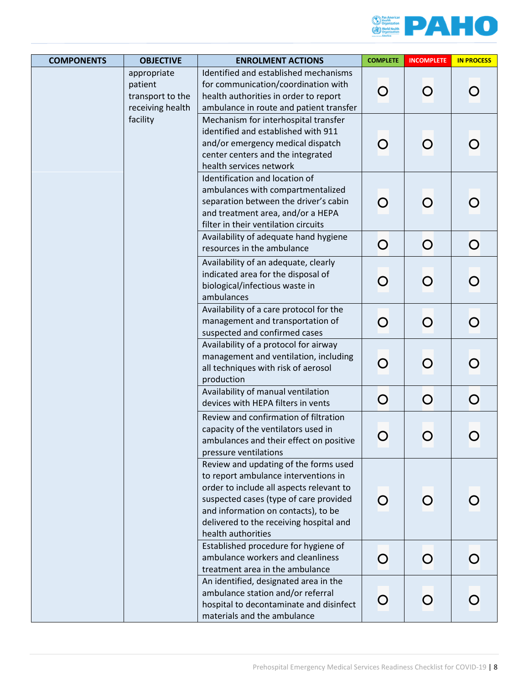

| <b>COMPONENTS</b> | <b>OBJECTIVE</b>                                               | <b>ENROLMENT ACTIONS</b>                                                                                                                                                                                                                                                    | <b>COMPLETE</b> | <b>INCOMPLETE</b> | <b>IN PROCESS</b> |
|-------------------|----------------------------------------------------------------|-----------------------------------------------------------------------------------------------------------------------------------------------------------------------------------------------------------------------------------------------------------------------------|-----------------|-------------------|-------------------|
|                   | appropriate<br>patient<br>transport to the<br>receiving health | Identified and established mechanisms<br>for communication/coordination with<br>health authorities in order to report<br>ambulance in route and patient transfer                                                                                                            | $\overline{O}$  | O                 |                   |
|                   | facility                                                       | Mechanism for interhospital transfer<br>identified and established with 911<br>and/or emergency medical dispatch<br>center centers and the integrated<br>health services network                                                                                            | O               | O                 |                   |
|                   |                                                                | Identification and location of<br>ambulances with compartmentalized<br>separation between the driver's cabin<br>and treatment area, and/or a HEPA<br>filter in their ventilation circuits                                                                                   | $\bigcirc$      | O                 |                   |
|                   |                                                                | Availability of adequate hand hygiene<br>resources in the ambulance                                                                                                                                                                                                         | $\overline{O}$  | O                 | O                 |
|                   |                                                                | Availability of an adequate, clearly<br>indicated area for the disposal of<br>biological/infectious waste in<br>ambulances                                                                                                                                                  | O               | O                 |                   |
|                   |                                                                | Availability of a care protocol for the<br>management and transportation of<br>suspected and confirmed cases                                                                                                                                                                | $\overline{O}$  | O                 | O                 |
|                   |                                                                | Availability of a protocol for airway<br>management and ventilation, including<br>all techniques with risk of aerosol<br>production                                                                                                                                         | $\overline{O}$  | O                 |                   |
|                   |                                                                | Availability of manual ventilation<br>devices with HEPA filters in vents                                                                                                                                                                                                    | $\overline{O}$  | O                 | O                 |
|                   |                                                                | Review and confirmation of filtration<br>capacity of the ventilators used in<br>ambulances and their effect on positive<br>pressure ventilations                                                                                                                            | O               | O                 |                   |
|                   |                                                                | Review and updating of the forms used<br>to report ambulance interventions in<br>order to include all aspects relevant to<br>suspected cases (type of care provided<br>and information on contacts), to be<br>delivered to the receiving hospital and<br>health authorities | $\Omega$        |                   |                   |
|                   |                                                                | Established procedure for hygiene of<br>ambulance workers and cleanliness<br>treatment area in the ambulance                                                                                                                                                                | O               | O                 |                   |
|                   |                                                                | An identified, designated area in the<br>ambulance station and/or referral<br>hospital to decontaminate and disinfect<br>materials and the ambulance                                                                                                                        | O               | O                 |                   |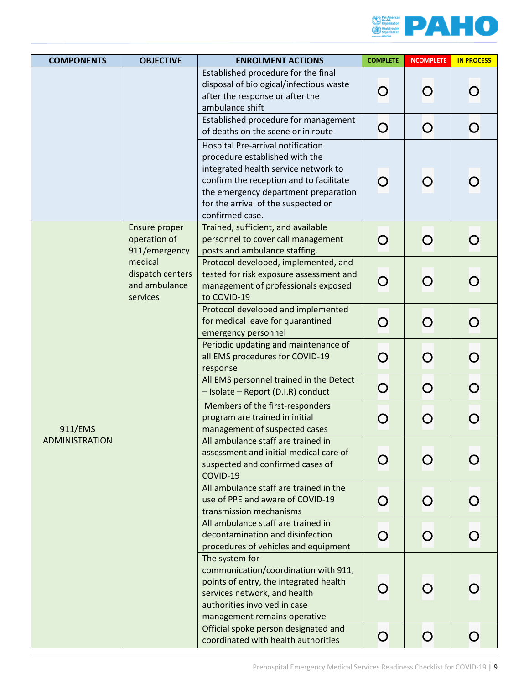

| <b>COMPONENTS</b>     | <b>OBJECTIVE</b>                                                                                           | <b>ENROLMENT ACTIONS</b>                                                                                                                                                                                                                                 | <b>COMPLETE</b> | <b>INCOMPLETE</b> | <b>IN PROCESS</b> |
|-----------------------|------------------------------------------------------------------------------------------------------------|----------------------------------------------------------------------------------------------------------------------------------------------------------------------------------------------------------------------------------------------------------|-----------------|-------------------|-------------------|
|                       |                                                                                                            | Established procedure for the final<br>disposal of biological/infectious waste<br>after the response or after the<br>ambulance shift                                                                                                                     | O               | O                 |                   |
|                       |                                                                                                            | Established procedure for management<br>of deaths on the scene or in route                                                                                                                                                                               | $\overline{O}$  | O                 | O                 |
|                       |                                                                                                            | Hospital Pre-arrival notification<br>procedure established with the<br>integrated health service network to<br>confirm the reception and to facilitate<br>the emergency department preparation<br>for the arrival of the suspected or<br>confirmed case. | $\overline{O}$  | O                 |                   |
|                       | Ensure proper<br>operation of<br>911/emergency<br>medical<br>dispatch centers<br>and ambulance<br>services | Trained, sufficient, and available<br>personnel to cover call management<br>posts and ambulance staffing.                                                                                                                                                | $\overline{O}$  | $\overline{O}$    |                   |
|                       |                                                                                                            | Protocol developed, implemented, and<br>tested for risk exposure assessment and<br>management of professionals exposed<br>to COVID-19                                                                                                                    | $\overline{O}$  | O                 |                   |
|                       |                                                                                                            | Protocol developed and implemented<br>for medical leave for quarantined<br>emergency personnel                                                                                                                                                           | $\overline{O}$  | O                 | O                 |
|                       |                                                                                                            | Periodic updating and maintenance of<br>all EMS procedures for COVID-19<br>response                                                                                                                                                                      | $\bigcirc$      | O                 | $\mathbf O$       |
|                       |                                                                                                            | All EMS personnel trained in the Detect<br>- Isolate - Report (D.I.R) conduct                                                                                                                                                                            | $\overline{O}$  | $\mathsf{O}$      | $\mathbf O$       |
| 911/EMS               |                                                                                                            | Members of the first-responders<br>program are trained in initial<br>management of suspected cases                                                                                                                                                       | $\overline{O}$  | O                 | O                 |
| <b>ADMINISTRATION</b> |                                                                                                            | All ambulance staff are trained in<br>assessment and initial medical care of<br>suspected and confirmed cases of<br>COVID-19                                                                                                                             | $\bigcirc$      | $\bigcirc$        |                   |
|                       |                                                                                                            | All ambulance staff are trained in the<br>use of PPE and aware of COVID-19<br>transmission mechanisms                                                                                                                                                    |                 | O                 |                   |
|                       |                                                                                                            | All ambulance staff are trained in<br>decontamination and disinfection<br>procedures of vehicles and equipment                                                                                                                                           | $\overline{O}$  | O                 | O                 |
|                       |                                                                                                            | The system for<br>communication/coordination with 911,<br>points of entry, the integrated health<br>services network, and health<br>authorities involved in case<br>management remains operative                                                         |                 |                   |                   |
|                       |                                                                                                            | Official spoke person designated and<br>coordinated with health authorities                                                                                                                                                                              | $\mathbf O$     | O                 | O                 |